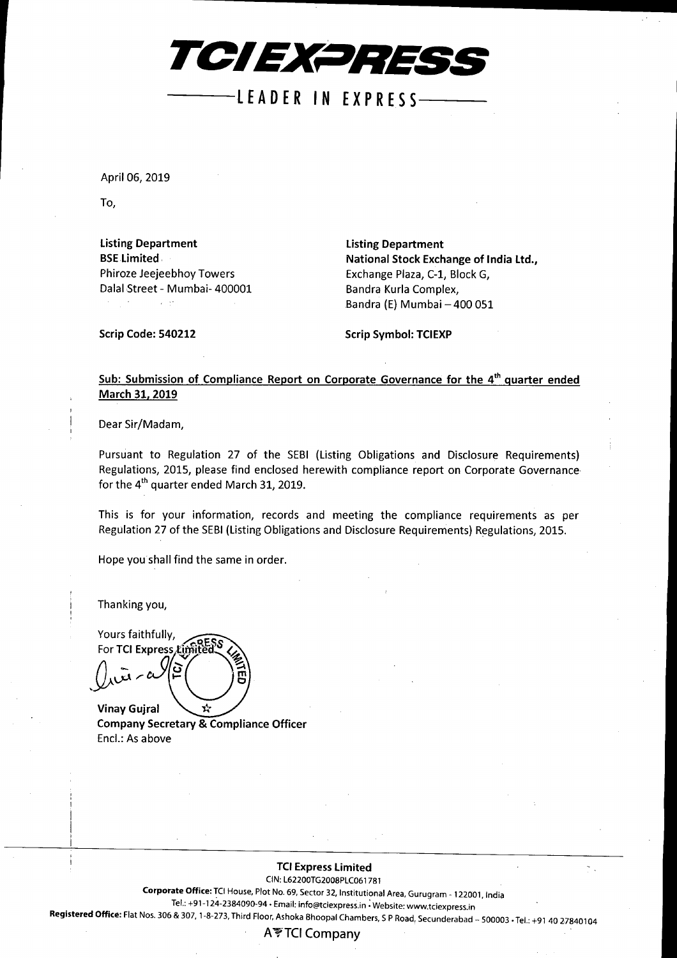

lEA DER IN EX**PRES** S---

April 06, 2019

To,

Listing Department **BSE Limited** Phiroze Jeejeebhoy Towers Dalal Street - Mumbai- 400001 Listing Department National Stock Exchange of India Ltd., Exchange Plaza, C-l, Block G, Bandra Kurla Complex, Bandra (E) Mumbai - 400 051

Scrip Code: 540212

Scrip Symbol: TCIEXP

### Sub: Submission of Compliance Report on Corporate Governance for the 4<sup>th</sup> quarter ended March 31, 2019

Dear Sir/Madam,

Pursuant to Regulation 27 of the SEBI (Listing Obligations and Disclosure Requirements) Regulations, 2015, please find enclosed herewith compliance report on Corporate Governance for the 4<sup>th</sup> quarter ended March 31, 2019.

This is for your information, records and meeting the compliance requirements as per Regulation 27 of the SEBI(Listing Obligations and Disclosure Requirements) Regulations, 2015.

Hope you shall find the same in order.

Thanking you,

Yours faithfully, For TCI Express Lin **Vinay Guiral** 

**Company Secretary & Compliance Officer** Encl.: As above

#### TCI Express limited

CIN:L62200TG2008PLC061781

Corporate Office: TCI House, Plot No. 69, Sector 32, Institutional Area, Gurugram - 122001, India

Tel.: +91-124-2384090-94. Email: [info@tciexpress.in](mailto:info@tciexpress.in) ; Website: [www.tciexpress.in](http://www.tciexpress.in)

Registered Office: Flat Nos. 306 & 307, 1-8-273, Third Floor, Ashoka Bhoopal Chambers, S P Road, Secunderabad - 500003 • Tel.: +91 40 27840104

### A'?TCI Company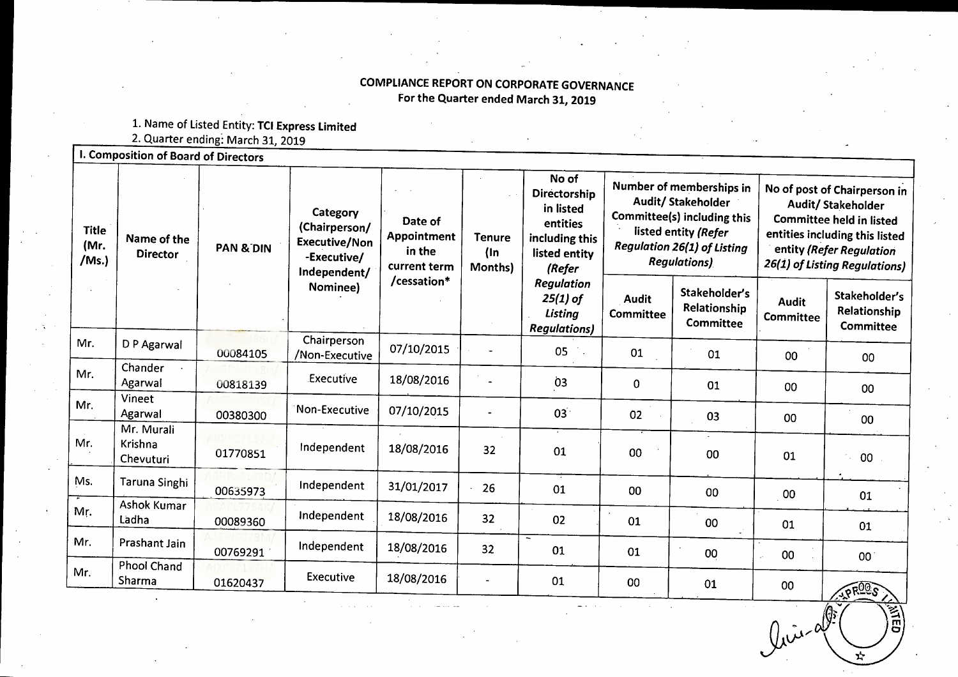# COMPLIANCE REPORT ON CORPORATE GOVERNANCE For the Quarter ended March 31, 2019

1. Name of Listed Entity: TCI Express Limite

2. Quarter ending: March 31, 2019

| <b>Title</b><br>(Mr.<br>/Ms. | Name of the<br><b>Director</b>     | <b>PAN &amp; DIN</b> | Category<br>(Chairperson/<br><b>Executive/Non</b><br>-Executive/<br>Independent/ | Date of<br>Appointment<br>in the<br>current term<br>/cessation* | <b>Tenure</b><br>$($ ln<br>Months) | No of<br><b>Directorship</b><br>in listed<br>entities<br>including this<br>listed entity<br>(Refer<br><b>Regulation</b><br>$25(1)$ of<br>Listing<br><b>Regulations</b> ) | Number of memberships in<br>Audit/ Stakeholder<br>Committee(s) including this<br>listed entity (Refer<br><b>Regulation 26(1) of Listing</b><br><b>Regulations)</b> |                                            | No of post of Chairperson in<br>Audit/ Stakeholder<br><b>Committee held in listed</b><br>entities including this listed<br>entity (Refer Regulation<br>26(1) of Listing Regulations) |                                                   |
|------------------------------|------------------------------------|----------------------|----------------------------------------------------------------------------------|-----------------------------------------------------------------|------------------------------------|--------------------------------------------------------------------------------------------------------------------------------------------------------------------------|--------------------------------------------------------------------------------------------------------------------------------------------------------------------|--------------------------------------------|--------------------------------------------------------------------------------------------------------------------------------------------------------------------------------------|---------------------------------------------------|
|                              |                                    |                      | Nominee)                                                                         |                                                                 |                                    |                                                                                                                                                                          | <b>Audit</b><br>Committee                                                                                                                                          | Stakeholder's<br>Relationship<br>Committee | <b>Audit</b><br>Committee                                                                                                                                                            | Stakeholder's<br>Relationship<br><b>Committee</b> |
| Mr.                          | D P Agarwal                        | 00084105             | Chairperson<br>/Non-Executive                                                    | 07/10/2015                                                      |                                    | 05                                                                                                                                                                       | 01                                                                                                                                                                 | 01                                         | 00                                                                                                                                                                                   | 00                                                |
| Mr.                          | Chander<br>Agarwal                 | 00818139             | Executive                                                                        | 18/08/2016                                                      |                                    | Ò3                                                                                                                                                                       | $\mathbf 0$                                                                                                                                                        | 01                                         | 00                                                                                                                                                                                   | 00                                                |
| Mr.                          | Vineet<br>Agarwal                  | 00380300             | Non-Executive                                                                    | 07/10/2015                                                      |                                    | $03^{\degree}$                                                                                                                                                           | 02                                                                                                                                                                 | 03                                         | $00\,$                                                                                                                                                                               | 00                                                |
| Mr.                          | Mr. Murali<br>Krishna<br>Chevuturi | 01770851             | Independent                                                                      | 18/08/2016                                                      | 32                                 | 01                                                                                                                                                                       | 00                                                                                                                                                                 | 00                                         | 01                                                                                                                                                                                   | 00 <sub>1</sub><br>12                             |
| Ms.                          | Taruna Singhi                      | 00635973             | Independent                                                                      | 31/01/2017                                                      | 26                                 | 01                                                                                                                                                                       | 00                                                                                                                                                                 | 00                                         | 00                                                                                                                                                                                   | 01                                                |
| Mr.                          | Ashok Kumar<br>Ladha               | 00089360             | Independent                                                                      | 18/08/2016                                                      | 32                                 | 02                                                                                                                                                                       | 01                                                                                                                                                                 | 00                                         | 01                                                                                                                                                                                   | 01                                                |
| Mr.                          | Prashant Jain                      | 00769291             | Independent                                                                      | 18/08/2016                                                      | 32                                 | 01                                                                                                                                                                       | 01                                                                                                                                                                 | 00                                         | $00\,$                                                                                                                                                                               | 00 <sup>1</sup>                                   |
| Mr.                          | <b>Phool Chand</b><br>Sharma       | 01620437             | Executive                                                                        | 18/08/2016                                                      |                                    | 01                                                                                                                                                                       | 00                                                                                                                                                                 | 01                                         | $00\,$                                                                                                                                                                               | <b>IPROOS</b>                                     |

 $\leftharpoonup$  $\lim_{\omega\to 0} \omega^{\text{ge}}$   $\left(\frac{\text{ge}}{\text{ge}}\right)$ 

 $\frac{1}{x}$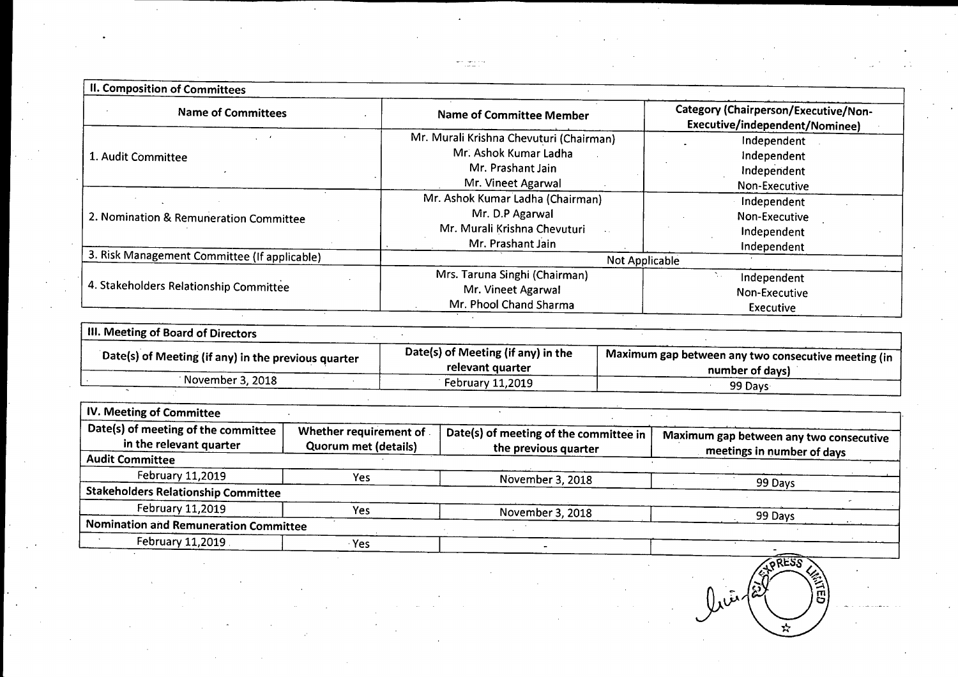| <b>II. Composition of Committees</b>         |                                         |                                                                               |  |  |
|----------------------------------------------|-----------------------------------------|-------------------------------------------------------------------------------|--|--|
| <b>Name of Committees</b>                    | <b>Name of Committee Member</b>         | <b>Category (Chairperson/Executive/Non-</b><br>Executive/independent/Nominee) |  |  |
|                                              | Mr. Murali Krishna Chevuturi (Chairman) | Independent                                                                   |  |  |
| 1. Audit Committee                           | Mr. Ashok Kumar Ladha                   | Independent                                                                   |  |  |
|                                              | Mr. Prashant Jain                       | Independent                                                                   |  |  |
|                                              | Mr. Vineet Agarwal                      | Non-Executive                                                                 |  |  |
|                                              | Mr. Ashok Kumar Ladha (Chairman)        | Independent                                                                   |  |  |
| 2. Nomination & Remuneration Committee       | Mr. D.P Agarwal                         | Non-Executive                                                                 |  |  |
|                                              | Mr. Murali Krishna Chevuturi            | Independent                                                                   |  |  |
|                                              | Mr. Prashant Jain                       | Independent                                                                   |  |  |
| 3. Risk Management Committee (If applicable) | Not Applicable                          |                                                                               |  |  |
|                                              | Mrs. Taruna Singhi (Chairman)           | Independent                                                                   |  |  |
| 4. Stakeholders Relationship Committee       | Mr. Vineet Agarwal                      | Non-Executive                                                                 |  |  |
|                                              | Mr. Phool Chand Sharma                  | <b>Executive</b>                                                              |  |  |

| III. Meeting of Board of Directors                  |                                                        |                                                                        |  |
|-----------------------------------------------------|--------------------------------------------------------|------------------------------------------------------------------------|--|
| Date(s) of Meeting (if any) in the previous quarter | Date(s) of Meeting (if any) in the<br>relevant quarter | Maximum gap between any two consecutive meeting (in<br>number of days) |  |
| November 3, 2018                                    | February 11,2019                                       | 99 Davs                                                                |  |

| IV. Meeting of Committee                                       |                                                       |                                                                |                                                                       |
|----------------------------------------------------------------|-------------------------------------------------------|----------------------------------------------------------------|-----------------------------------------------------------------------|
| Date(s) of meeting of the committee<br>in the relevant quarter | Whether requirement of<br><b>Quorum met (details)</b> | Date(s) of meeting of the committee in<br>the previous quarter | Maximum gap between any two consecutive<br>meetings in number of days |
| <b>Audit Committee</b>                                         |                                                       |                                                                |                                                                       |
| February 11,2019                                               | Yes                                                   | November 3, 2018                                               | 99 Days                                                               |
| <b>Stakeholders Relationship Committee</b>                     |                                                       |                                                                |                                                                       |
| February 11,2019                                               | Yes                                                   | November 3, 2018                                               | 99 Days                                                               |
| Nomination and Remuneration Committee                          |                                                       |                                                                |                                                                       |
| February 11,2019                                               | <b>Yes</b>                                            |                                                                |                                                                       |

**SPRESS**  $0<sub>x</sub>$   $\sqrt{\tilde{z}}$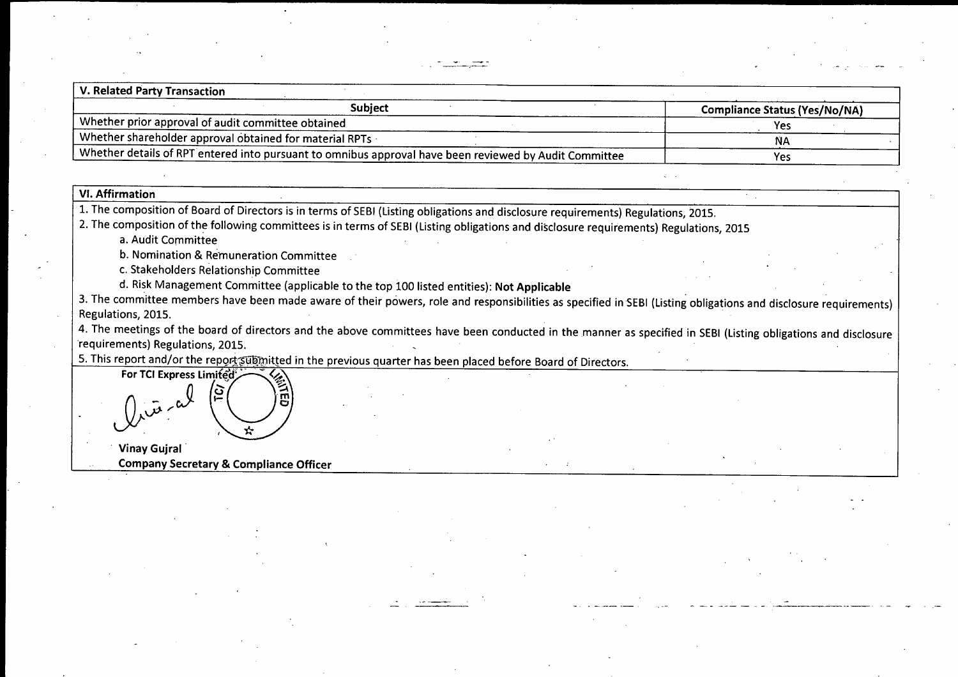| <b>V. Related Party Transaction</b>                                                                    |                                      |
|--------------------------------------------------------------------------------------------------------|--------------------------------------|
| Subject                                                                                                | <b>Compliance Status (Yes/No/NA)</b> |
| Whether prior approval of audit committee obtained                                                     | Yes                                  |
| . Whether shareholder approval obtained for material RPTs                                              | N۵                                   |
| Whether details of RPT entered into pursuant to omnibus approval have been reviewed by Audit Committee | Yes                                  |

## VI. Affirmation

1. The composition of Board of Directors is in terms of SEBI (Listing obligations and disclosure requirements) Regulations, 2015.

2. The composition of the following committees is in terms of SEBI(Listing obligations and disclosure requirements) Regulations, 2015

a. Audit Committee

b. Nomination & Remuneration Committee

c. Stakeholders Relationship Committee

d. Risk Management Committee (applicable to the top 100 listed entities): Not Applicable

3. The committee members have been made aware of their powers, role and responsibilities as specified in SEBI (Listing obligations and disclosure requirements) Regulations, 2015.

4. The meetings of the board of directors and the above committees have been conducted in the manner as specified in SEBI(Listing obligations and disclosure requirements) Regulations, 2015.

- <sup>~</sup> --- ~--- - - ------\_.\_-

5. This report and/or the report submitted in the previous quarter has been placed before Board of Directors.



Company Secretary & Compliance Officer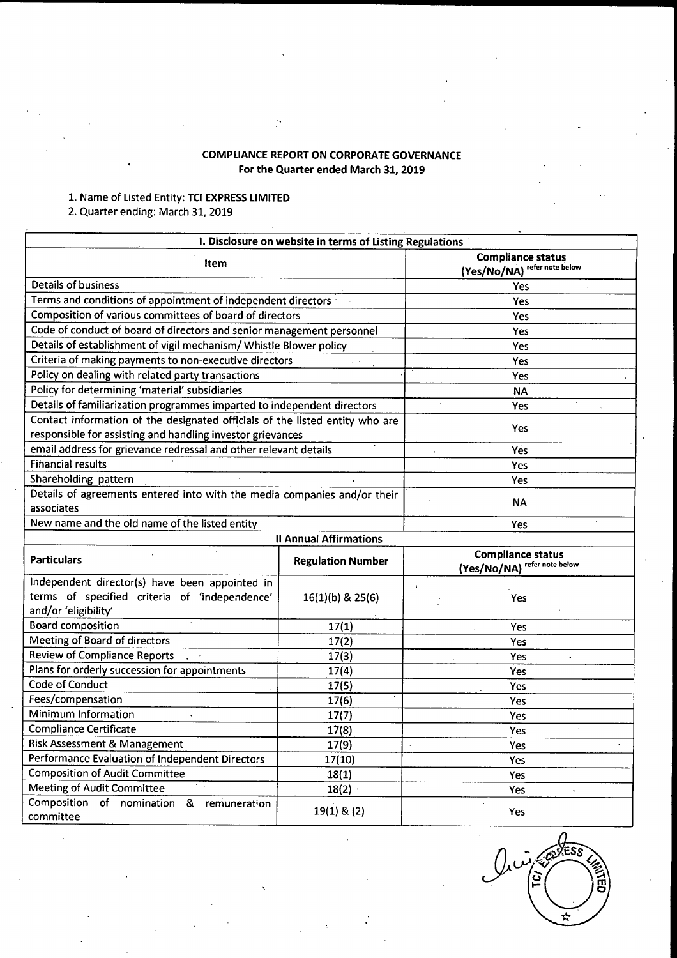# **COMPLIANCE REPORT ON CORPORATE GOVERNANCE For the Quarter ended March 31, 2019**

#### 1. Name of Listed Entity: **TCI EXPRESSLIMITED**

#### 2. Quarter ending: March 31, 2019

|                                                                                                                                            | I. Disclosure on website in terms of Listing Regulations |                                                          |  |
|--------------------------------------------------------------------------------------------------------------------------------------------|----------------------------------------------------------|----------------------------------------------------------|--|
| <b>Item</b>                                                                                                                                | <b>Compliance status</b><br>(Yes/No/NA) refer note below |                                                          |  |
| <b>Details of business</b>                                                                                                                 | Yes                                                      |                                                          |  |
| Terms and conditions of appointment of independent directors                                                                               |                                                          | <b>Yes</b>                                               |  |
| Composition of various committees of board of directors                                                                                    |                                                          | Yes                                                      |  |
| Code of conduct of board of directors and senior management personnel                                                                      |                                                          | Yes                                                      |  |
| Details of establishment of vigil mechanism/ Whistle Blower policy                                                                         |                                                          | Yes                                                      |  |
| Criteria of making payments to non-executive directors                                                                                     |                                                          | Yes                                                      |  |
| Policy on dealing with related party transactions                                                                                          |                                                          | Yes                                                      |  |
| Policy for determining 'material' subsidiaries                                                                                             |                                                          | <b>NA</b>                                                |  |
| Details of familiarization programmes imparted to independent directors                                                                    |                                                          | Yes                                                      |  |
| Contact information of the designated officials of the listed entity who are<br>responsible for assisting and handling investor grievances |                                                          | Yes                                                      |  |
| email address for grievance redressal and other relevant details                                                                           |                                                          | Yes                                                      |  |
| Financial results                                                                                                                          |                                                          | Yes                                                      |  |
| Shareholding pattern                                                                                                                       |                                                          | Yes                                                      |  |
| Details of agreements entered into with the media companies and/or their<br>associates                                                     | <b>NA</b>                                                |                                                          |  |
| New name and the old name of the listed entity                                                                                             |                                                          | Yes                                                      |  |
|                                                                                                                                            | <b>Il Annual Affirmations</b>                            |                                                          |  |
| <b>Particulars</b>                                                                                                                         | <b>Regulation Number</b>                                 | <b>Compliance status</b><br>(Yes/No/NA) refer note below |  |
| Independent director(s) have been appointed in<br>terms of specified criteria of 'independence'                                            |                                                          |                                                          |  |
| and/or 'eligibility'                                                                                                                       | 16(1)(b) & 25(6)                                         | Yes                                                      |  |
| <b>Board composition</b>                                                                                                                   | 17(1)                                                    | Yes                                                      |  |
| Meeting of Board of directors                                                                                                              | 17(2)                                                    | Yes                                                      |  |
| <b>Review of Compliance Reports</b>                                                                                                        | 17(3)                                                    | Yes                                                      |  |
| Plans for orderly succession for appointments                                                                                              | 17(4)                                                    | Yes                                                      |  |
| Code of Conduct                                                                                                                            | 17(5)                                                    | Yes                                                      |  |
| Fees/compensation                                                                                                                          | 17(6)                                                    | Yes                                                      |  |
| Minimum Information                                                                                                                        | 17(7)                                                    | Yes                                                      |  |
| <b>Compliance Certificate</b>                                                                                                              | 17(8)                                                    | Yes                                                      |  |
| Risk Assessment & Management                                                                                                               | 17(9)                                                    | Yes                                                      |  |
| Performance Evaluation of Independent Directors                                                                                            | 17(10)                                                   | Yes                                                      |  |
| <b>Composition of Audit Committee</b>                                                                                                      | 18(1)                                                    | Yes                                                      |  |
| Y.<br>Meeting of Audit Committee                                                                                                           | 18(2)                                                    | Yes                                                      |  |

 $\widehat{\text{ESS}}$ نىرل  $\sqrt{\frac{1}{2}}$ Y.